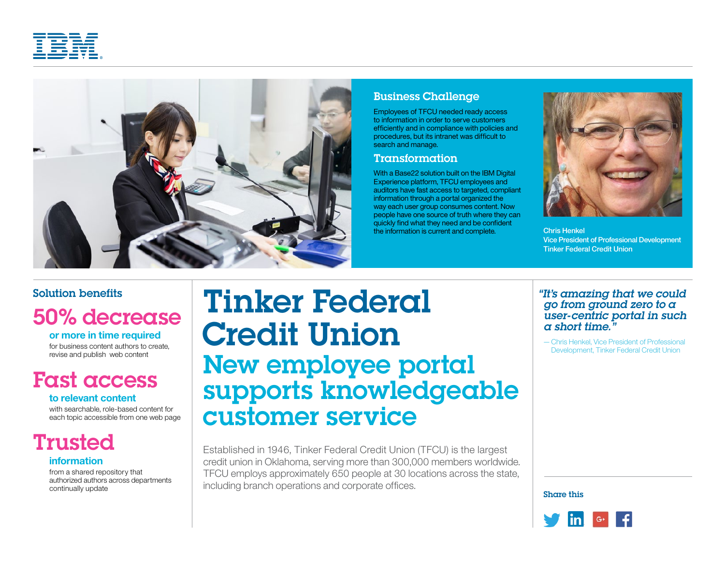



### Business Challenge

Employees of TFCU needed ready access to information in order to serve customers efficiently and in compliance with policies and procedures, but its intranet was difficult to search and manage.

### Transformation

With a Base22 solution built on the IBM Digital Experience platform, TFCU employees and auditors have fast access to targeted, compliant information through a portal organized the way each user group consumes content. Now people have one source of truth where they can quickly find what they need and be confident the information is current and complete. Chris Henkel



Vice President of Professional Development Tinker Federal Credit Union

### Solution benefits

# 50% decrease

**or more in time required**

for business content authors to create, revise and publish web content

# Fast access

#### **to relevant content**

with searchable, role-based content for each topic accessible from one web page

## Trusted

#### **information**

from a shared repository that authorized authors across departments continually update

# Tinker Federal Credit Union New employee portal supports knowledgeable customer service

Established in 1946, Tinker Federal Credit Union (TFCU) is the largest credit union in Oklahoma, serving more than 300,000 members worldwide. TFCU employs approximately 650 people at 30 locations across the state, including branch operations and corporate offices.

#### *"It's amazing that we could go from ground zero to a user-centric portal in such a short time."*

—Chris Henkel, Vice President of Professional Development, Tinker Federal Credit Union

Share this

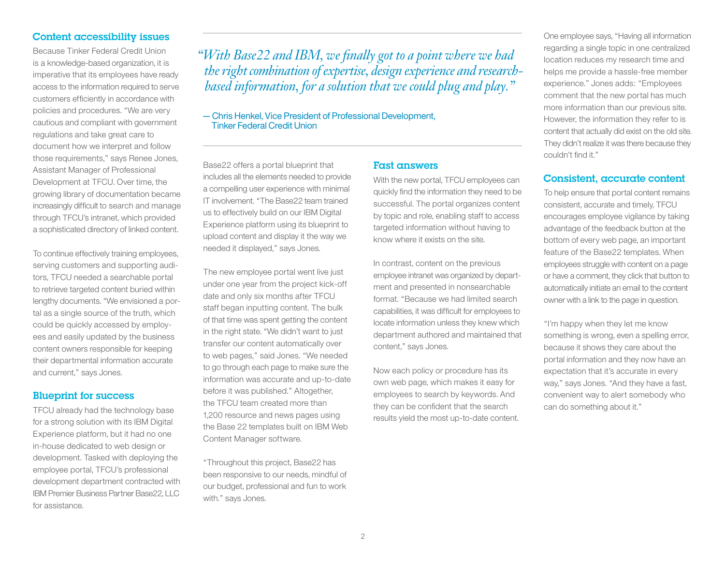#### Content accessibility issues

Because Tinker Federal Credit Union is a knowledge-based organization, it is imperative that its employees have ready access to the information required to serve customers efficiently in accordance with policies and procedures. "We are very cautious and compliant with government regulations and take great care to document how we interpret and follow those requirements," says Renee Jones, Assistant Manager of Professional Development at TFCU. Over time, the growing library of documentation became increasingly difficult to search and manage through TFCU's intranet, which provided a sophisticated directory of linked content.

To continue effectively training employees, serving customers and supporting auditors, TFCU needed a searchable portal to retrieve targeted content buried within lengthy documents. "We envisioned a portal as a single source of the truth, which could be quickly accessed by employees and easily updated by the business content owners responsible for keeping their departmental information accurate and current," says Jones.

#### Blueprint for success

TFCU already had the technology base for a strong solution with its IBM Digital Experience platform, but it had no one in-house dedicated to web design or development. Tasked with deploying the employee portal, TFCU's professional development department contracted with IBM Premier Business Partner Base22, LLC for assistance.

*"With Base22 and IBM, we finally got to a point where we had the right combination of expertise, design experience and researchbased information, for a solution that we could plug and play."*

—Chris Henkel, Vice President of Professional Development, Tinker Federal Credit Union

Base22 offers a portal blueprint that includes all the elements needed to provide a compelling user experience with minimal IT involvement. "The Base22 team trained us to effectively build on our IBM Digital Experience platform using its blueprint to upload content and display it the way we needed it displayed," says Jones.

The new employee portal went live just under one year from the project kick-off date and only six months after TFCU staff began inputting content. The bulk of that time was spent getting the content in the right state. "We didn't want to just transfer our content automatically over to web pages," said Jones. "We needed to go through each page to make sure the information was accurate and up-to-date before it was published." Altogether, the TFCU team created more than 1,200 resource and news pages using the Base 22 templates built on IBM Web Content Manager software.

"Throughout this project, Base22 has been responsive to our needs, mindful of our budget, professional and fun to work with." says Jones.

#### Fast answers

With the new portal, TFCU employees can quickly find the information they need to be successful. The portal organizes content by topic and role, enabling staff to access targeted information without having to know where it exists on the site.

In contrast, content on the previous employee intranet was organized by department and presented in nonsearchable format. "Because we had limited search capabilities, it was difficult for employees to locate information unless they knew which department authored and maintained that content," says Jones.

Now each policy or procedure has its own web page, which makes it easy for employees to search by keywords. And they can be confident that the search results yield the most up-to-date content.

One employee says, "Having all information regarding a single topic in one centralized location reduces my research time and helps me provide a hassle-free member experience." Jones adds: "Employees comment that the new portal has much more information than our previous site. However, the information they refer to is content that actually did exist on the old site. They didn't realize it was there because they couldn't find it."

#### Consistent, accurate content

To help ensure that portal content remains consistent, accurate and timely, TFCU encourages employee vigilance by taking advantage of the feedback button at the bottom of every web page, an important feature of the Base22 templates. When employees struggle with content on a page or have a comment, they click that button to automatically initiate an email to the content owner with a link to the page in question.

"I'm happy when they let me know something is wrong, even a spelling error, because it shows they care about the portal information and they now have an expectation that it's accurate in every way," says Jones. "And they have a fast, convenient way to alert somebody who can do something about it."